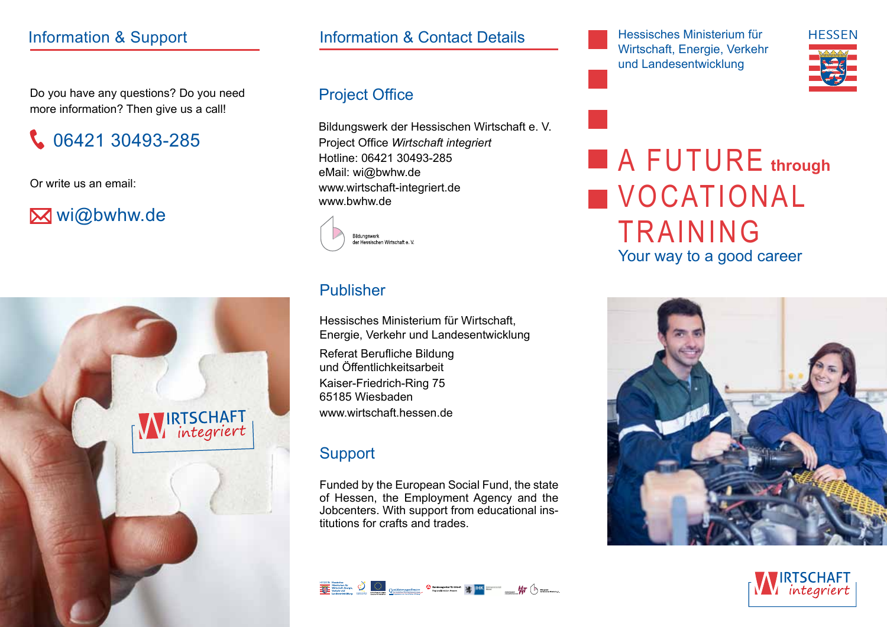Do you have any questions? Do you need more information? Then give us a call!

06421 30493-285

Or write us an email:

# **M** wi@bwhw.de



## Information & Support **Access 10 Information & Contact Details** Hessisches Ministerium für

## Project Office

Bildungswerk der Hessischen Wirtschaft e. V. Project Office *Wirtschaft integriert* Hotline: 06421 30493-285 eMail: wi@bwhw.de www.wirtschaft-integriert.de www.bwhw.de



#### Publisher

Hessisches Ministerium für Wirtschaft, Energie, Verkehr und Landesentwicklung

Referat Berufliche Bildung und Öffentlichkeitsarbeit Kaiser-Friedrich-Ring 75 65185 Wiesbaden www.wirtschaft.hessen.de

## **Support**

Funded by the European Social Fund, the state of Hessen, the Employment Agency and the Jobcenters. With support from educational institutions for crafts and trades.



Wirtschaft, Energie, Verkehr und Landesentwicklung



**A FUTURE** through **VOCATIONAL TRAINING** Your way to a good career